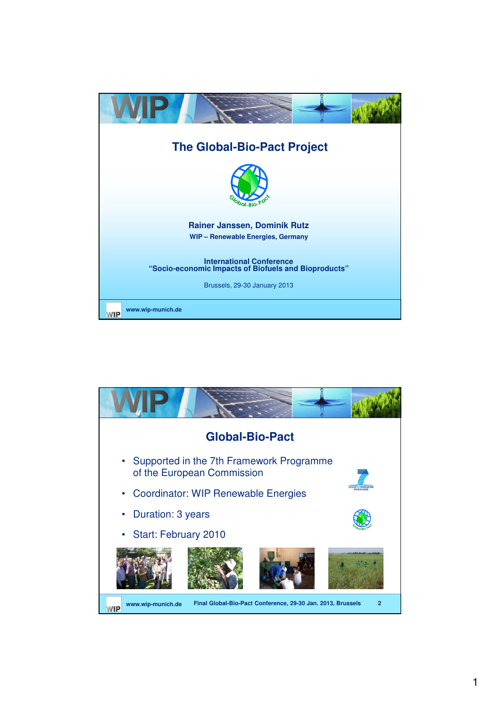

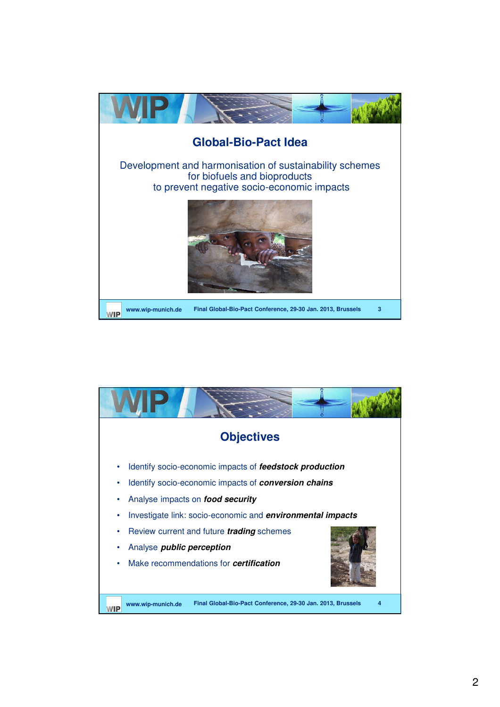

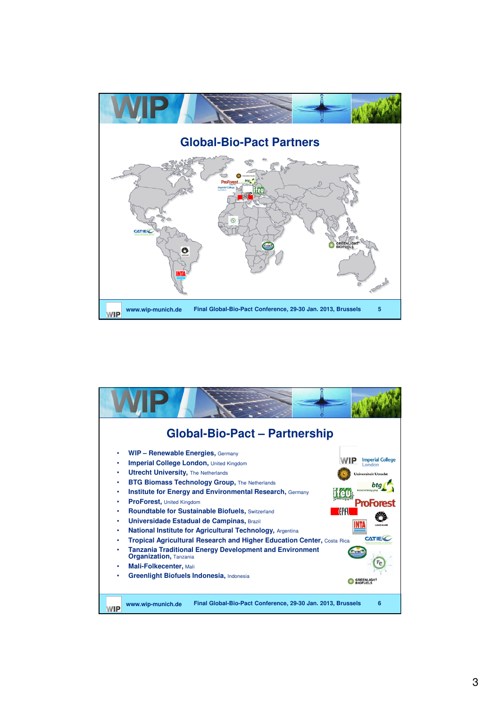

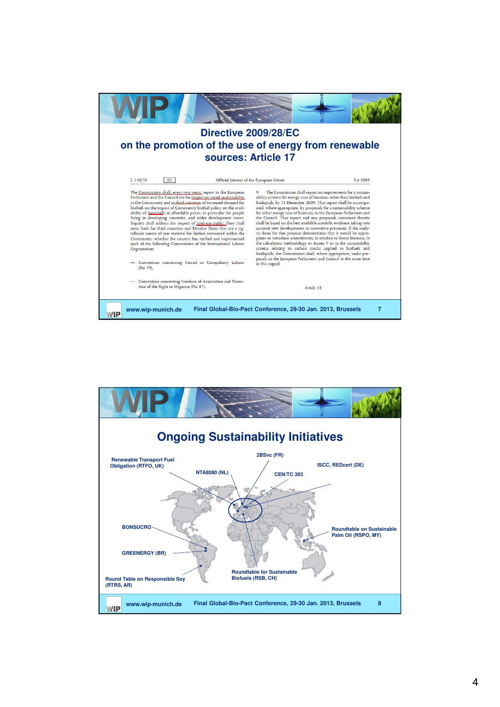

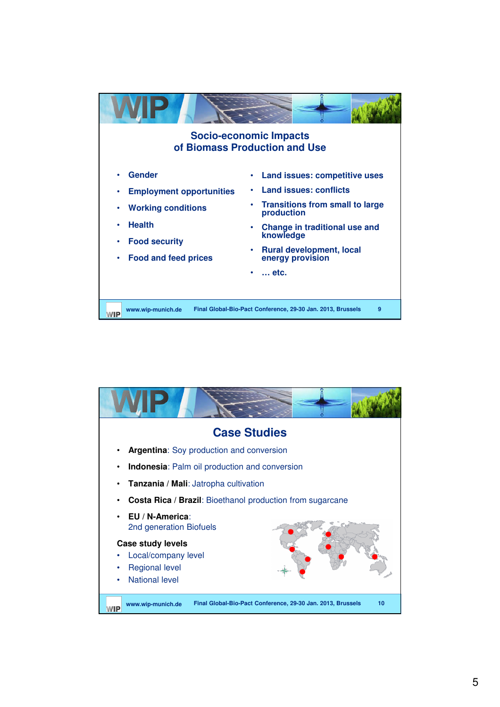

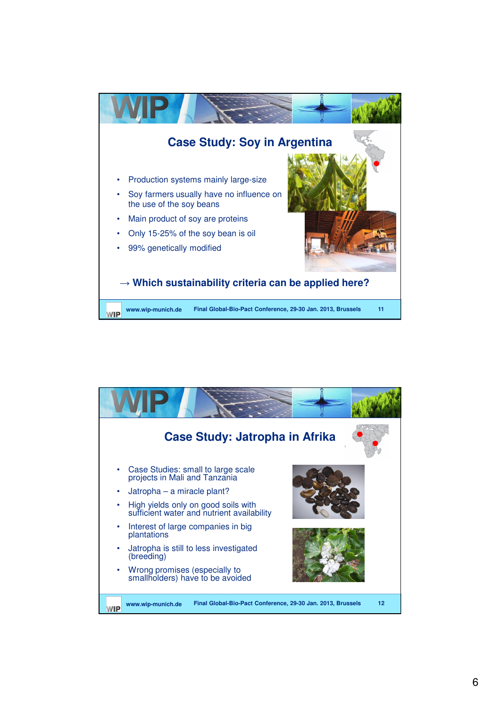

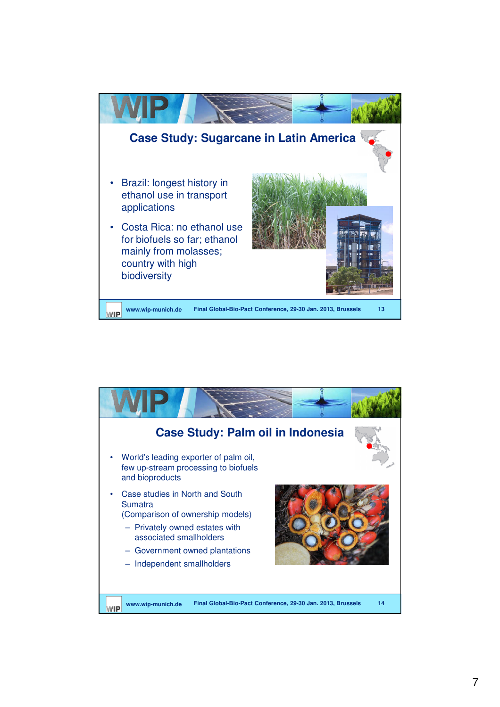